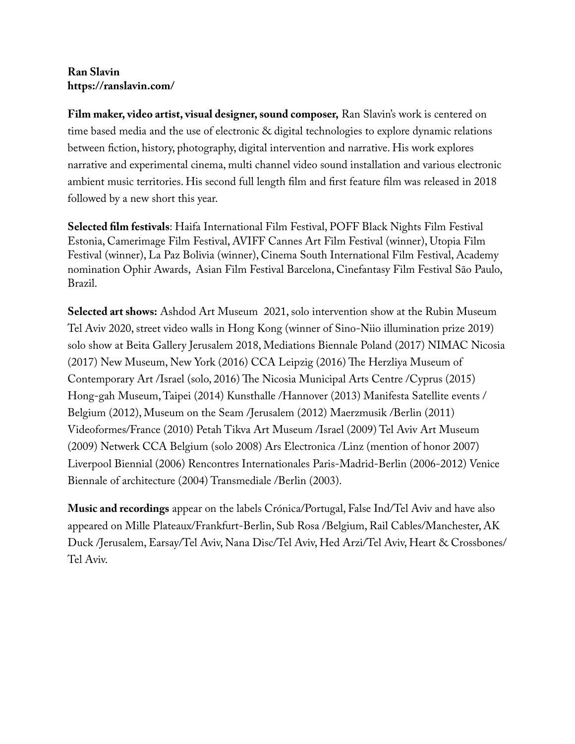## **Ran Slavin https://ranslavin.com/**

**Film maker, video artist, visual designer, sound composer,** Ran Slavin's work is centered on time based media and the use of electronic & digital technologies to explore dynamic relations between fction, history, photography, digital intervention and narrative. His work explores narrative and experimental cinema, multi channel video sound installation and various electronic ambient music territories. His second full length flm and frst feature flm was released in 2018 followed by a new short this year.

**Selected flm festivals**: Haifa International Film Festival, POFF Black Nights Film Festival Estonia, Camerimage Film Festival, AVIFF Cannes Art Film Festival (winner), Utopia Film Festival (winner), La Paz Bolivia (winner), Cinema South International Film Festival, Academy nomination Ophir Awards, Asian Film Festival Barcelona, Cinefantasy Film Festival São Paulo, Brazil.

**Selected art shows:** Ashdod Art Museum 2021, solo intervention show at the Rubin Museum Tel Aviv 2020, street video walls in Hong Kong (winner of Sino-Niio illumination prize 2019) solo show at Beita Gallery Jerusalem 2018, Mediations Biennale Poland (2017) NIMAC Nicosia (2017) New Museum, New York (2016) CCA Leipzig (2016) The Herzliya Museum of Contemporary Art /Israel (solo, 2016) The Nicosia Municipal Arts Centre /Cyprus (2015) Hong-gah Museum, Taipei (2014) Kunsthalle /Hannover (2013) Manifesta Satellite events / Belgium (2012), Museum on the Seam /Jerusalem (2012) Maerzmusik /Berlin (2011) Videoformes/France (2010) Petah Tikva Art Museum /Israel (2009) Tel Aviv Art Museum (2009) Netwerk CCA Belgium (solo 2008) Ars Electronica /Linz (mention of honor 2007) Liverpool Biennial (2006) Rencontres Internationales Paris-Madrid-Berlin (2006-2012) Venice Biennale of architecture (2004) Transmediale /Berlin (2003).

**Music and recordings** appear on the labels Crónica/Portugal, False Ind/Tel Aviv and have also appeared on Mille Plateaux/Frankfurt-Berlin, Sub Rosa /Belgium, Rail Cables/Manchester, AK Duck /Jerusalem, Earsay/Tel Aviv, Nana Disc/Tel Aviv, Hed Arzi/Tel Aviv, Heart & Crossbones/ Tel Aviv.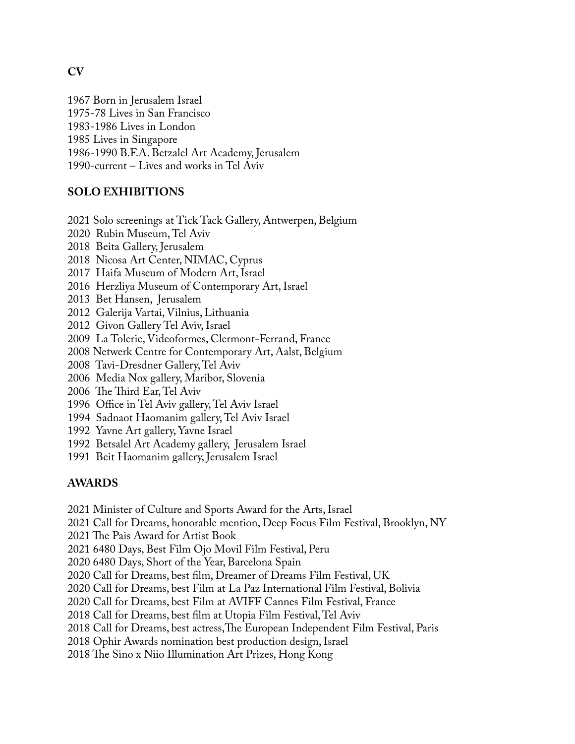1967 Born in Jerusalem Israel 1975-78 Lives in San Francisco 1983-1986 Lives in London 1985 Lives in Singapore 1986-1990 B.F.A. Betzalel Art Academy, Jerusalem 1990-current – Lives and works in Tel Aviv

## **SOLO EXHIBITIONS**

2021 Solo screenings at Tick Tack Gallery, Antwerpen, Belgium

- 2020 Rubin Museum, Tel Aviv
- 2018 Beita Gallery, Jerusalem
- 2018 Nicosa Art Center, NIMAC, Cyprus
- 2017 Haifa Museum of Modern Art, Israel
- 2016 Herzliya Museum of Contemporary Art, Israel
- 2013 Bet Hansen, Jerusalem
- 2012 Galerija Vartai, Vilnius, Lithuania
- 2012 Givon Gallery Tel Aviv, Israel
- 2009 La Tolerie, Videoformes, Clermont-Ferrand, France
- 2008 Netwerk Centre for Contemporary Art, Aalst, Belgium
- 2008 Tavi-Dresdner Gallery, Tel Aviv
- 2006 Media Nox gallery, Maribor, Slovenia
- 2006 The Third Ear, Tel Aviv
- 1996 Office in Tel Aviv gallery, Tel Aviv Israel
- 1994 Sadnaot Haomanim gallery, Tel Aviv Israel
- 1992 Yavne Art gallery, Yavne Israel
- 1992 Betsalel Art Academy gallery, Jerusalem Israel
- 1991 Beit Haomanim gallery, Jerusalem Israel

#### **AWARDS**

2021 Minister of Culture and Sports Award for the Arts, Israel

2021 Call for Dreams, honorable mention, Deep Focus Film Festival, Brooklyn, NY

2021 The Pais Award for Artist Book

2021 6480 Days, Best Film Ojo Movil Film Festival, Peru

2020 6480 Days, Short of the Year, Barcelona Spain

2020 Call for Dreams, best flm, Dreamer of Dreams Film Festival, UK

2020 Call for Dreams, best Film at La Paz International Film Festival, Bolivia

2020 Call for Dreams, best Film at AVIFF Cannes Film Festival, France

2018 Call for Dreams, best flm at Utopia Film Festival, Tel Aviv

2018 Call for Dreams, best actress, The European Independent Film Festival, Paris

2018 Ophir Awards nomination best production design, Israel

2018 The Sino x Niio Illumination Art Prizes, Hong Kong

## **CV**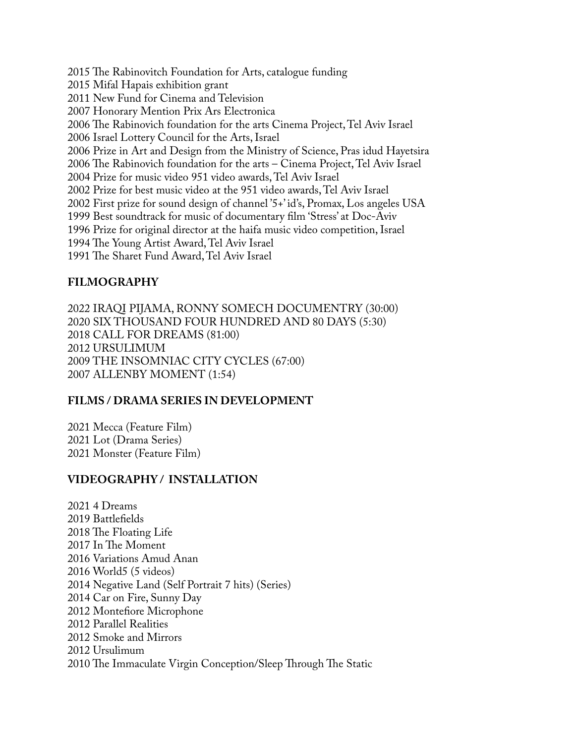2015 The Rabinovitch Foundation for Arts, catalogue funding 2015 Mifal Hapais exhibition grant 2011 New Fund for Cinema and Television 2007 Honorary Mention Prix Ars Electronica 2006 The Rabinovich foundation for the arts Cinema Project, Tel Aviv Israel 2006 Israel Lottery Council for the Arts, Israel 2006 Prize in Art and Design from the Ministry of Science, Pras idud Hayetsira 2006 The Rabinovich foundation for the arts – Cinema Project, Tel Aviv Israel 2004 Prize for music video 951 video awards, Tel Aviv Israel 2002 Prize for best music video at the 951 video awards, Tel Aviv Israel 2002 First prize for sound design of channel '5+' id's, Promax, Los angeles USA 1999 Best soundtrack for music of documentary flm 'Stress' at Doc-Aviv 1996 Prize for original director at the haifa music video competition, Israel 1994 The Young Artist Award, Tel Aviv Israel 1991 The Sharet Fund Award, Tel Aviv Israel

#### **FILMOGRAPHY**

2022 IRAQI PIJAMA, RONNY SOMECH DOCUMENTRY (30:00) 2020 SIX THOUSAND FOUR HUNDRED AND 80 DAYS (5:30) 2018 CALL FOR DREAMS (81:00) 2012 URSULIMUM 2009 THE INSOMNIAC CITY CYCLES (67:00) 2007 ALLENBY MOMENT (1:54)

## **FILMS / DRAMA SERIES IN DEVELOPMENT**

2021 Mecca (Feature Film) 2021 Lot (Drama Series) 2021 Monster (Feature Film)

## **VIDEOGRAPHY / INSTALLATION**

2021 4 Dreams 2019 Battlefelds 2018 The Floating Life 2017 In The Moment 2016 Variations Amud Anan 2016 World5 (5 videos) 2014 Negative Land (Self Portrait 7 hits) (Series) 2014 Car on Fire, Sunny Day 2012 Montefore Microphone 2012 Parallel Realities 2012 Smoke and Mirrors 2012 Ursulimum 2010 The Immaculate Virgin Conception/Sleep Through The Static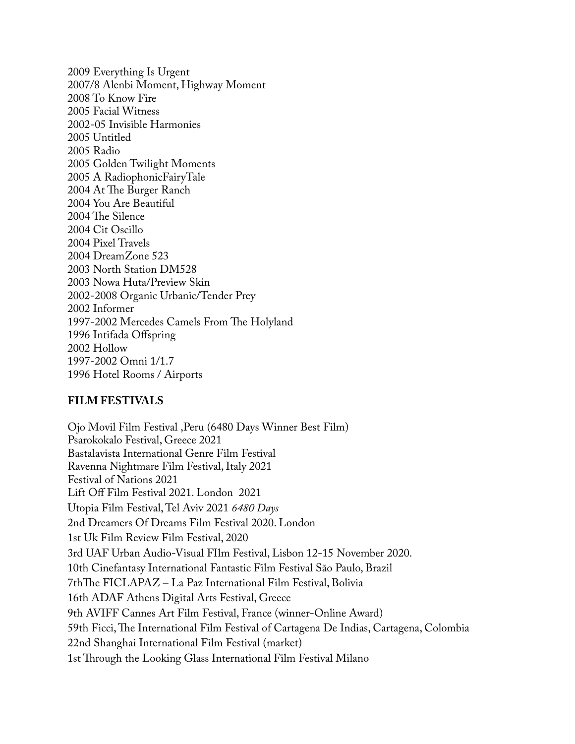2009 Everything Is Urgent 2007/8 Alenbi Moment, Highway Moment 2008 To Know Fire 2005 Facial Witness 2002-05 Invisible Harmonies 2005 Untitled 2005 Radio 2005 Golden Twilight Moments 2005 A RadiophonicFairyTale 2004 At The Burger Ranch 2004 You Are Beautiful 2004 The Silence 2004 Cit Oscillo 2004 Pixel Travels 2004 DreamZone 523 2003 North Station DM528 2003 Nowa Huta/Preview Skin 2002-2008 Organic Urbanic/Tender Prey 2002 Informer 1997-2002 Mercedes Camels From The Holyland 1996 Intifada Offspring 2002 Hollow 1997-2002 Omni 1/1.7 1996 Hotel Rooms / Airports

#### **FILM FESTIVALS**

Ojo Movil Film Festival ,Peru (6480 Days Winner Best Film) Psarokokalo Festival, Greece 2021 Bastalavista International Genre Film Festival Ravenna Nightmare Film Festival, Italy 2021 Festival of Nations 2021 Lift Off Film Festival 2021. London 2021 Utopia Film Festival, Tel Aviv 2021 *6480 Days* 2nd Dreamers Of Dreams Film Festival 2020. London 1st Uk Film Review Film Festival, 2020 3rd UAF Urban Audio-Visual FIlm Festival, Lisbon 12-15 November 2020. 10th Cinefantasy International Fantastic Film Festival São Paulo, Brazil 7thThe FICLAPAZ – La Paz International Film Festival, Bolivia 16th ADAF Athens Digital Arts Festival, Greece 9th AVIFF Cannes Art Film Festival, France (winner-Online Award) 59th Ficci, The International Film Festival of Cartagena De Indias, Cartagena, Colombia 22nd Shanghai International Film Festival (market) 1st Through the Looking Glass International Film Festival Milano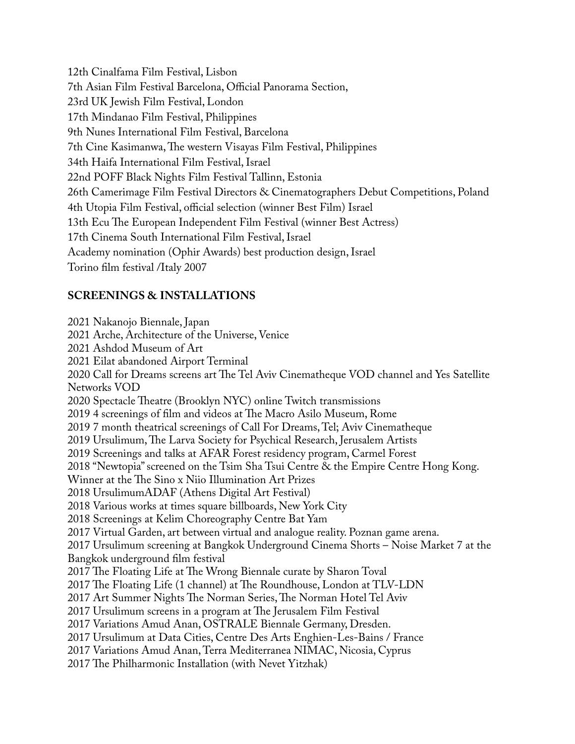12th Cinalfama Film Festival, Lisbon 7th Asian Film Festival Barcelona, Official Panorama Section, 23rd UK Jewish Film Festival, London 17th Mindanao Film Festival, Philippines 9th Nunes International Film Festival, Barcelona 7th Cine Kasimanwa, The western Visayas Film Festival, Philippines 34th Haifa International Film Festival, Israel 22nd POFF Black Nights Film Festival Tallinn, Estonia 26th Camerimage Film Festival Directors & Cinematographers Debut Competitions, Poland 4th Utopia Film Festival, official selection (winner Best Film) Israel 13th Ecu The European Independent Film Festival (winner Best Actress) 17th Cinema South International Film Festival, Israel Academy nomination (Ophir Awards) best production design, Israel Torino flm festival /Italy 2007

## **SCREENINGS & INSTALLATIONS**

2021 Nakanojo Biennale, Japan 2021 Arche, Architecture of the Universe, Venice 2021 Ashdod Museum of Art 2021 Eilat abandoned Airport Terminal 2020 Call for Dreams screens art The Tel Aviv Cinematheque VOD channel and Yes Satellite Networks VOD 2020 Spectacle Theatre (Brooklyn NYC) online Twitch transmissions 2019 4 screenings of film and videos at The Macro Asilo Museum, Rome 2019 7 month theatrical screenings of Call For Dreams, Tel; Aviv Cinematheque 2019 Ursulimum, The Larva Society for Psychical Research, Jerusalem Artists 2019 Screenings and talks at AFAR Forest residency program, Carmel Forest 2018 "Newtopia" screened on the Tsim Sha Tsui Centre & the Empire Centre Hong Kong. Winner at the The Sino x Niio Illumination Art Prizes 2018 UrsulimumADAF (Athens Digital Art Festival) 2018 Various works at times square billboards, New York City 2018 Screenings at Kelim Choreography Centre Bat Yam 2017 Virtual Garden, art between virtual and analogue reality. Poznan game arena. 2017 Ursulimum screening at Bangkok Underground Cinema Shorts – Noise Market 7 at the Bangkok underground flm festival 2017 The Floating Life at The Wrong Biennale curate by Sharon Toval 2017 The Floating Life (1 channel) at The Roundhouse, London at TLV-LDN 2017 Art Summer Nights The Norman Series, The Norman Hotel Tel Aviv 2017 Ursulimum screens in a program at The Jerusalem Film Festival 2017 Variations Amud Anan, OSTRALE Biennale Germany, Dresden. 2017 Ursulimum at Data Cities, Centre Des Arts Enghien-Les-Bains / France 2017 Variations Amud Anan, Terra Mediterranea NIMAC, Nicosia, Cyprus 2017 The Philharmonic Installation (with Nevet Yitzhak)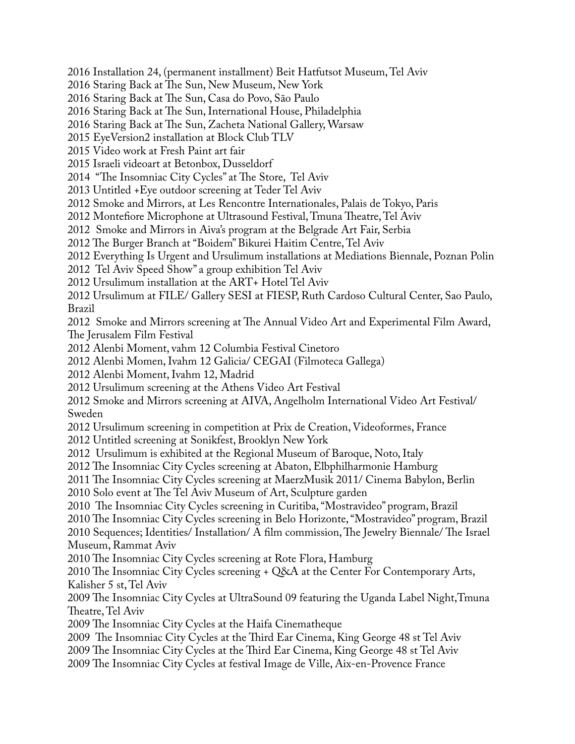2016 Installation 24, (permanent installment) Beit Hatfutsot Museum, Tel Aviv

2016 Staring Back at The Sun, New Museum, New York

2016 Staring Back at The Sun, Casa do Povo, São Paulo

2016 Staring Back at The Sun, International House, Philadelphia

2016 Staring Back at The Sun, Zacheta National Gallery, Warsaw

2015 EyeVersion2 installation at Block Club TLV

2015 Video work at Fresh Paint art fair

2015 Israeli videoart at Betonbox, Dusseldorf

2014 "The Insomniac City Cycles" at The Store, Tel Aviv

2013 Untitled +Eye outdoor screening at Teder Tel Aviv

2012 Smoke and Mirrors, at Les Rencontre Internationales, Palais de Tokyo, Paris

2012 Montefiore Microphone at Ultrasound Festival, Tmuna Theatre, Tel Aviv

2012 Smoke and Mirrors in Aiva's program at the Belgrade Art Fair, Serbia

2012 The Burger Branch at "Boidem" Bikurei Haitim Centre, Tel Aviv

2012 Everything Is Urgent and Ursulimum installations at Mediations Biennale, Poznan Polin

2012 Tel Aviv Speed Show" a group exhibition Tel Aviv

2012 Ursulimum installation at the ART+ Hotel Tel Aviv

2012 Ursulimum at FILE/ Gallery SESI at FIESP, Ruth Cardoso Cultural Center, Sao Paulo, Brazil

2012 Smoke and Mirrors screening at The Annual Video Art and Experimental Film Award, The Jerusalem Film Festival

2012 Alenbi Moment, vahm 12 Columbia Festival Cinetoro

2012 Alenbi Momen, Ivahm 12 Galicia/ CEGAI (Filmoteca Gallega)

2012 Alenbi Moment, Ivahm 12, Madrid

2012 Ursulimum screening at the Athens Video Art Festival

2012 Smoke and Mirrors screening at AIVA, Angelholm International Video Art Festival/ Sweden

2012 Ursulimum screening in competition at Prix de Creation, Videoformes, France

2012 Untitled screening at Sonikfest, Brooklyn New York

2012 Ursulimum is exhibited at the Regional Museum of Baroque, Noto, Italy

2012 The Insomniac City Cycles screening at Abaton, Elbphilharmonie Hamburg

2011 The Insomniac City Cycles screening at MaerzMusik 2011/ Cinema Babylon, Berlin

2010 Solo event at The Tel Aviv Museum of Art, Sculpture garden

2010 The Insomniac City Cycles screening in Curitiba, "Mostravideo" program, Brazil

2010 The Insomniac City Cycles screening in Belo Horizonte, "Mostravideo" program, Brazil

2010 Sequences; Identities/ Installation/ A film commission, The Jewelry Biennale/ The Israel Museum, Rammat Aviv

2010 The Insomniac City Cycles screening at Rote Flora, Hamburg

2010 The Insomniac City Cycles screening  $+$  Q&A at the Center For Contemporary Arts, Kalisher 5 st, Tel Aviv

2009 The Insomniac City Cycles at UltraSound 09 featuring the Uganda Label Night, Tmuna Theatre, Tel Aviv

2009 The Insomniac City Cycles at the Haifa Cinematheque

2009 The Insomniac City Cycles at the Third Ear Cinema, King George 48 st Tel Aviv

2009 The Insomniac City Cycles at the Third Ear Cinema, King George 48 st Tel Aviv

2009 The Insomniac City Cycles at festival Image de Ville, Aix-en-Provence France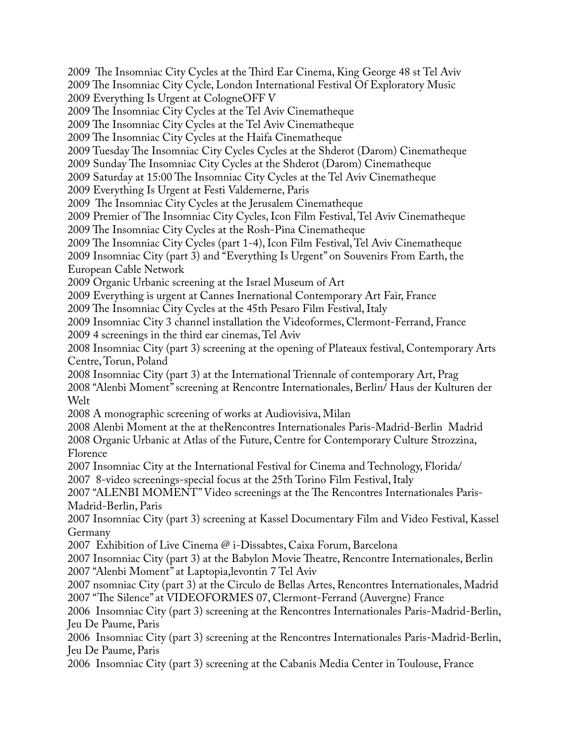2009 The Insomniac City Cycles at the Third Ear Cinema, King George 48 st Tel Aviv

2009 The Insomniac City Cycle, London International Festival Of Exploratory Music 2009 Everything Is Urgent at CologneOFF V

2009 The Insomniac City Cycles at the Tel Aviv Cinematheque

2009 The Insomniac City Cycles at the Tel Aviv Cinematheque

2009 The Insomniac City Cycles at the Haifa Cinematheque

2009 Tuesday The Insomniac City Cycles Cycles at the Shderot (Darom) Cinematheque

2009 Sunday The Insomniac City Cycles at the Shderot (Darom) Cinematheque

2009 Saturday at 15:00 The Insomniac City Cycles at the Tel Aviv Cinematheque

2009 Everything Is Urgent at Festi Valdemerne, Paris

2009 The Insomniac City Cycles at the Jerusalem Cinematheque

2009 Premier of The Insomniac City Cycles, Icon Film Festival, Tel Aviv Cinematheque

2009 The Insomniac City Cycles at the Rosh-Pina Cinematheque

2009 The Insomniac City Cycles (part 1-4), Icon Film Festival, Tel Aviv Cinematheque

2009 Insomniac City (part 3) and "Everything Is Urgent" on Souvenirs From Earth, the European Cable Network

2009 Organic Urbanic screening at the Israel Museum of Art

2009 Everything is urgent at Cannes Inernational Contemporary Art Fair, France

2009 The Insomniac City Cycles at the 45th Pesaro Film Festival, Italy

2009 Insomniac City 3 channel installation the Videoformes, Clermont-Ferrand, France 2009 4 screenings in the third ear cinemas, Tel Aviv

2008 Insomniac City (part 3) screening at the opening of Plateaux festival, Contemporary Arts Centre, Torun, Poland

2008 Insomniac City (part 3) at the International Triennale of contemporary Art, Prag 2008 "Alenbi Moment" screening at Rencontre Internationales, Berlin/ Haus der Kulturen der Welt

2008 A monographic screening of works at Audiovisiva, Milan

2008 Alenbi Moment at the at theRencontres Internationales Paris-Madrid-Berlin Madrid 2008 Organic Urbanic at Atlas of the Future, Centre for Contemporary Culture Strozzina, Florence

2007 Insomniac City at the International Festival for Cinema and Technology, Florida/ 2007 8-video screenings-special focus at the 25th Torino Film Festival, Italy

2007 "ALENBI MOMENT" Video screenings at the The Rencontres Internationales Paris-Madrid-Berlin, Paris

2007 Insomniac City (part 3) screening at Kassel Documentary Film and Video Festival, Kassel Germany

2007 Exhibition of Live Cinema @ i-Dissabtes, Caixa Forum, Barcelona

2007 Insomniac City (part 3) at the Babylon Movie Theatre, Rencontre Internationales, Berlin 2007 "Alenbi Moment" at Laptopia,levontin 7 Tel Aviv

2007 nsomniac City (part 3) at the Circulo de Bellas Artes, Rencontres Internationales, Madrid 2007 "The Silence" at VIDEOFORMES 07, Clermont-Ferrand (Auvergne) France

2006 Insomniac City (part 3) screening at the Rencontres Internationales Paris-Madrid-Berlin, Jeu De Paume, Paris

2006 Insomniac City (part 3) screening at the Rencontres Internationales Paris-Madrid-Berlin, Jeu De Paume, Paris

2006 Insomniac City (part 3) screening at the Cabanis Media Center in Toulouse, France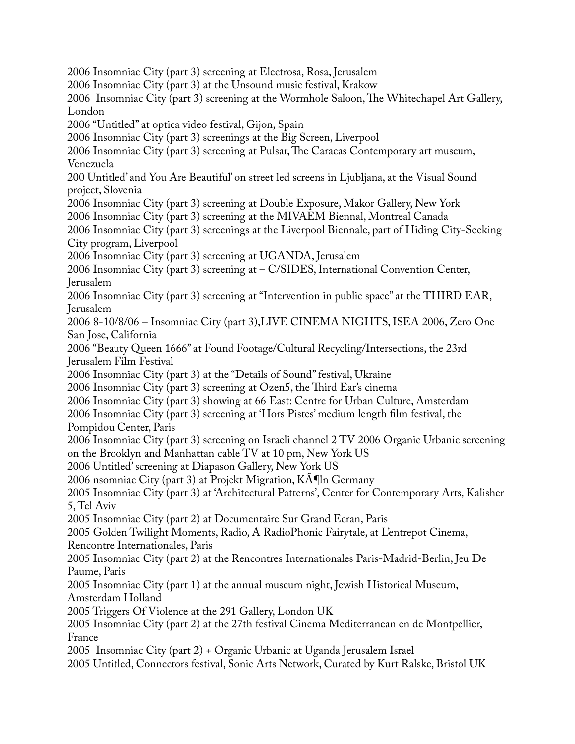2006 Insomniac City (part 3) screening at Electrosa, Rosa, Jerusalem 2006 Insomniac City (part 3) at the Unsound music festival, Krakow 2006 Insomniac City (part 3) screening at the Wormhole Saloon, The Whitechapel Art Gallery, London 2006 "Untitled" at optica video festival, Gijon, Spain 2006 Insomniac City (part 3) screenings at the Big Screen, Liverpool 2006 Insomniac City (part 3) screening at Pulsar, The Caracas Contemporary art museum, Venezuela 200 Untitled' and You Are Beautiful' on street led screens in Ljubljana, at the Visual Sound project, Slovenia 2006 Insomniac City (part 3) screening at Double Exposure, Makor Gallery, New York 2006 Insomniac City (part 3) screening at the MIVAEM Biennal, Montreal Canada 2006 Insomniac City (part 3) screenings at the Liverpool Biennale, part of Hiding City-Seeking City program, Liverpool 2006 Insomniac City (part 3) screening at UGANDA, Jerusalem 2006 Insomniac City (part 3) screening at – C/SIDES, International Convention Center, Jerusalem 2006 Insomniac City (part 3) screening at "Intervention in public space" at the THIRD EAR, Jerusalem 2006 8-10/8/06 – Insomniac City (part 3),LIVE CINEMA NIGHTS, ISEA 2006, Zero One San Jose, California 2006 "Beauty Queen 1666" at Found Footage/Cultural Recycling/Intersections, the 23rd Jerusalem Film Festival 2006 Insomniac City (part 3) at the "Details of Sound" festival, Ukraine 2006 Insomniac City (part 3) screening at Ozen5, the Third Ear's cinema 2006 Insomniac City (part 3) showing at 66 East: Centre for Urban Culture, Amsterdam 2006 Insomniac City (part 3) screening at 'Hors Pistes' medium length flm festival, the Pompidou Center, Paris 2006 Insomniac City (part 3) screening on Israeli channel 2 TV 2006 Organic Urbanic screening on the Brooklyn and Manhattan cable TV at 10 pm, New York US 2006 Untitled' screening at Diapason Gallery, New York US 2006 nsomniac City (part 3) at Projekt Migration,  $K\overline{A}$ ¶ln Germany 2005 Insomniac City (part 3) at 'Architectural Patterns', Center for Contemporary Arts, Kalisher 5, Tel Aviv 2005 Insomniac City (part 2) at Documentaire Sur Grand Ecran, Paris 2005 Golden Twilight Moments, Radio, A RadioPhonic Fairytale, at L'entrepot Cinema, Rencontre Internationales, Paris 2005 Insomniac City (part 2) at the Rencontres Internationales Paris-Madrid-Berlin, Jeu De Paume, Paris 2005 Insomniac City (part 1) at the annual museum night, Jewish Historical Museum, Amsterdam Holland 2005 Triggers Of Violence at the 291 Gallery, London UK 2005 Insomniac City (part 2) at the 27th festival Cinema Mediterranean en de Montpellier, France 2005 Insomniac City (part 2) + Organic Urbanic at Uganda Jerusalem Israel 2005 Untitled, Connectors festival, Sonic Arts Network, Curated by Kurt Ralske, Bristol UK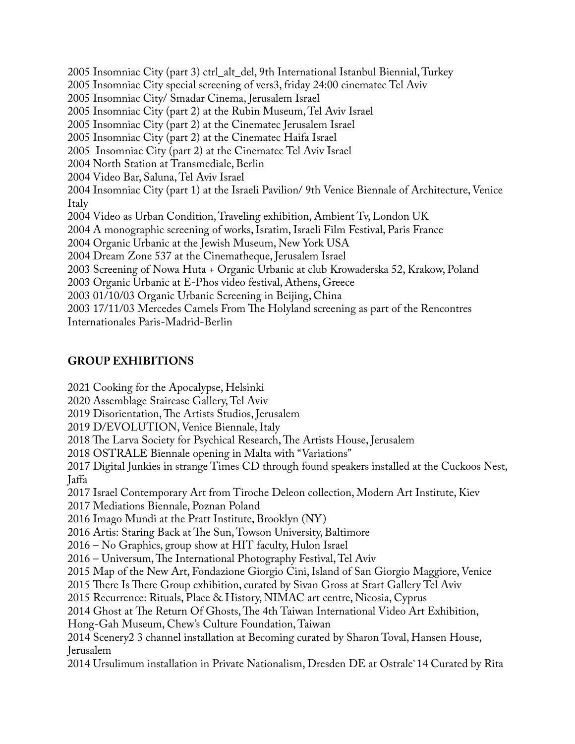2005 Insomniac City (part 3) ctrl\_alt\_del, 9th International Istanbul Biennial, Turkey 2005 Insomniac City special screening of vers3, friday 24:00 cinematec Tel Aviv 2005 Insomniac City/ Smadar Cinema, Jerusalem Israel 2005 Insomniac City (part 2) at the Rubin Museum, Tel Aviv Israel 2005 Insomniac City (part 2) at the Cinematec Jerusalem Israel 2005 Insomniac City (part 2) at the Cinematec Haifa Israel 2005 Insomniac City (part 2) at the Cinematec Tel Aviv Israel 2004 North Station at Transmediale, Berlin 2004 Video Bar, Saluna, Tel Aviv Israel 2004 Insomniac City (part 1) at the Israeli Pavilion/ 9th Venice Biennale of Architecture, Venice Italy 2004 Video as Urban Condition, Traveling exhibition, Ambient Tv, London UK 2004 A monographic screening of works, Isratim, Israeli Film Festival, Paris France 2004 Organic Urbanic at the Jewish Museum, New York USA 2004 Dream Zone 537 at the Cinematheque, Jerusalem Israel 2003 Screening of Nowa Huta + Organic Urbanic at club Krowaderska 52, Krakow, Poland 2003 Organic Urbanic at E-Phos video festival, Athens, Greece 2003 01/10/03 Organic Urbanic Screening in Beijing, China 2003 17/11/03 Mercedes Camels From The Holyland screening as part of the Rencontres Internationales Paris-Madrid-Berlin

# **GROUP EXHIBITIONS**

2021 Cooking for the Apocalypse, Helsinki

2020 Assemblage Staircase Gallery, Tel Aviv

2019 Disorientation, The Artists Studios, Jerusalem

2019 D/EVOLUTION, Venice Biennale, Italy

2018 The Larva Society for Psychical Research, The Artists House, Jerusalem

2018 OSTRALE Biennale opening in Malta with "Variations"

2017 Digital Junkies in strange Times CD through found speakers installed at the Cuckoos Nest, Jaffa

2017 Israel Contemporary Art from Tiroche Deleon collection, Modern Art Institute, Kiev

2017 Mediations Biennale, Poznan Poland

2016 Imago Mundi at the Pratt Institute, Brooklyn (NY)

2016 Artis: Staring Back at The Sun, Towson University, Baltimore

2016 – No Graphics, group show at HIT faculty, Hulon Israel

2016 – Universum, The International Photography Festival, Tel Aviv

2015 Map of the New Art, Fondazione Giorgio Cini, Island of San Giorgio Maggiore, Venice

2015 There Is There Group exhibition, curated by Sivan Gross at Start Gallery Tel Aviv

2015 Recurrence: Rituals, Place & History, NIMAC art centre, Nicosia, Cyprus

2014 Ghost at The Return Of Ghosts, The 4th Taiwan International Video Art Exhibition,

Hong-Gah Museum, Chew's Culture Foundation, Taiwan

2014 Scenery2 3 channel installation at Becoming curated by Sharon Toval, Hansen House, Jerusalem

2014 Ursulimum installation in Private Nationalism, Dresden DE at Ostrale`14 Curated by Rita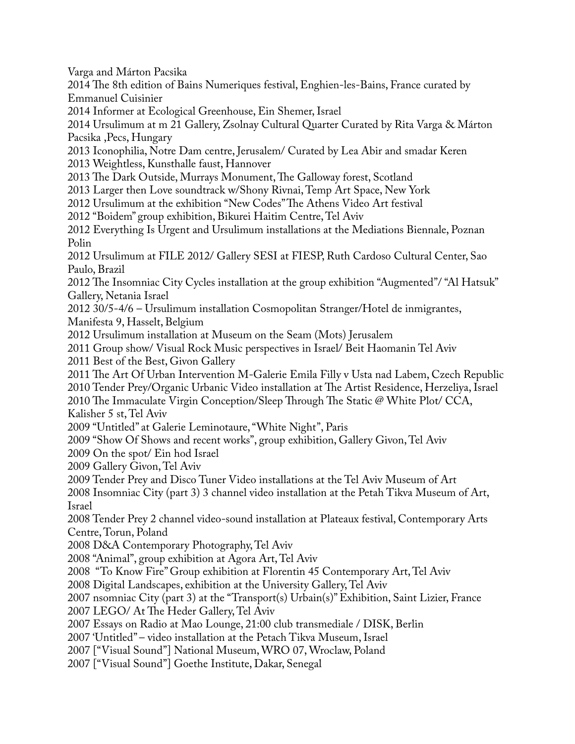Varga and Márton Pacsika 2014 The 8th edition of Bains Numeriques festival, Enghien-les-Bains, France curated by Emmanuel Cuisinier 2014 Informer at Ecological Greenhouse, Ein Shemer, Israel 2014 Ursulimum at m 21 Gallery, Zsolnay Cultural Quarter Curated by Rita Varga & Márton Pacsika ,Pecs, Hungary 2013 Iconophilia, Notre Dam centre, Jerusalem/ Curated by Lea Abir and smadar Keren 2013 Weightless, Kunsthalle faust, Hannover 2013 The Dark Outside, Murrays Monument, The Galloway forest, Scotland 2013 Larger then Love soundtrack w/Shony Rivnai, Temp Art Space, New York 2012 Ursulimum at the exhibition "New Codes" The Athens Video Art festival 2012 "Boidem" group exhibition, Bikurei Haitim Centre, Tel Aviv 2012 Everything Is Urgent and Ursulimum installations at the Mediations Biennale, Poznan Polin 2012 Ursulimum at FILE 2012/ Gallery SESI at FIESP, Ruth Cardoso Cultural Center, Sao Paulo, Brazil 2012 The Insomniac City Cycles installation at the group exhibition "Augmented"/ "Al Hatsuk" Gallery, Netania Israel 2012 30/5-4/6 – Ursulimum installation Cosmopolitan Stranger/Hotel de inmigrantes, Manifesta 9, Hasselt, Belgium 2012 Ursulimum installation at Museum on the Seam (Mots) Jerusalem 2011 Group show/ Visual Rock Music perspectives in Israel/ Beit Haomanin Tel Aviv 2011 Best of the Best, Givon Gallery 2011 The Art Of Urban Intervention M-Galerie Emila Filly v Usta nad Labem, Czech Republic 2010 Tender Prey/Organic Urbanic Video installation at The Artist Residence, Herzeliya, Israel 2010 The Immaculate Virgin Conception/Sleep Through The Static  $@$  White Plot/ CCA, Kalisher 5 st, Tel Aviv 2009 "Untitled" at Galerie Leminotaure, "White Night", Paris 2009 "Show Of Shows and recent works", group exhibition, Gallery Givon, Tel Aviv 2009 On the spot/ Ein hod Israel 2009 Gallery Givon, Tel Aviv 2009 Tender Prey and Disco Tuner Video installations at the Tel Aviv Museum of Art 2008 Insomniac City (part 3) 3 channel video installation at the Petah Tikva Museum of Art, Israel 2008 Tender Prey 2 channel video-sound installation at Plateaux festival, Contemporary Arts Centre, Torun, Poland 2008 D&A Contemporary Photography, Tel Aviv 2008 "Animal", group exhibition at Agora Art, Tel Aviv 2008 "To Know Fire" Group exhibition at Florentin 45 Contemporary Art, Tel Aviv 2008 Digital Landscapes, exhibition at the University Gallery, Tel Aviv 2007 nsomniac City (part 3) at the "Transport(s) Urbain(s)" Exhibition, Saint Lizier, France 2007 LEGO/ At The Heder Gallery, Tel Aviv 2007 Essays on Radio at Mao Lounge, 21:00 club transmediale / DISK, Berlin 2007 'Untitled" – video installation at the Petach Tikva Museum, Israel 2007 ["Visual Sound"] National Museum, WRO 07, Wroclaw, Poland 2007 ["Visual Sound"] Goethe Institute, Dakar, Senegal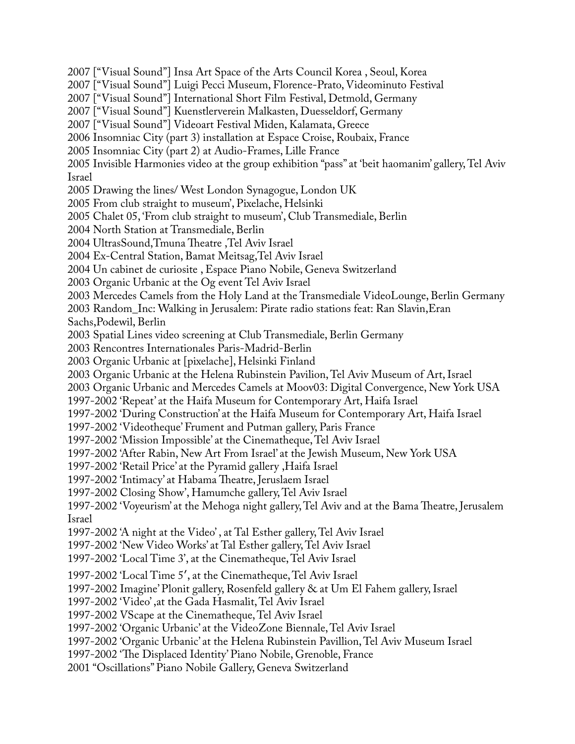2007 ["Visual Sound"] Insa Art Space of the Arts Council Korea , Seoul, Korea 2007 ["Visual Sound"] Luigi Pecci Museum, Florence-Prato, Videominuto Festival 2007 ["Visual Sound"] International Short Film Festival, Detmold, Germany 2007 ["Visual Sound"] Kuenstlerverein Malkasten, Duesseldorf, Germany 2007 ["Visual Sound"] Videoart Festival Miden, Kalamata, Greece 2006 Insomniac City (part 3) installation at Espace Croise, Roubaix, France 2005 Insomniac City (part 2) at Audio-Frames, Lille France 2005 Invisible Harmonies video at the group exhibition "pass" at 'beit haomanim' gallery, Tel Aviv Israel 2005 Drawing the lines/ West London Synagogue, London UK 2005 From club straight to museum', Pixelache, Helsinki 2005 Chalet 05, 'From club straight to museum', Club Transmediale, Berlin 2004 North Station at Transmediale, Berlin 2004 UltrasSound,Tmuna Theatre, Tel Aviv Israel 2004 Ex-Central Station, Bamat Meitsag,Tel Aviv Israel 2004 Un cabinet de curiosite , Espace Piano Nobile, Geneva Switzerland 2003 Organic Urbanic at the Og event Tel Aviv Israel 2003 Mercedes Camels from the Holy Land at the Transmediale VideoLounge, Berlin Germany 2003 Random\_Inc: Walking in Jerusalem: Pirate radio stations feat: Ran Slavin,Eran Sachs,Podewil, Berlin 2003 Spatial Lines video screening at Club Transmediale, Berlin Germany 2003 Rencontres Internationales Paris-Madrid-Berlin 2003 Organic Urbanic at [pixelache], Helsinki Finland 2003 Organic Urbanic at the Helena Rubinstein Pavilion, Tel Aviv Museum of Art, Israel 2003 Organic Urbanic and Mercedes Camels at Moov03: Digital Convergence, New York USA 1997-2002 'Repeat' at the Haifa Museum for Contemporary Art, Haifa Israel 1997-2002 'During Construction' at the Haifa Museum for Contemporary Art, Haifa Israel 1997-2002 'Videotheque' Frument and Putman gallery, Paris France 1997-2002 'Mission Impossible' at the Cinematheque, Tel Aviv Israel 1997-2002 'After Rabin, New Art From Israel' at the Jewish Museum, New York USA 1997-2002 'Retail Price' at the Pyramid gallery ,Haifa Israel 1997-2002 'Intimacy' at Habama Theatre, Jeruslaem Israel 1997-2002 Closing Show', Hamumche gallery, Tel Aviv Israel 1997-2002 'Voyeurism' at the Mehoga night gallery, Tel Aviv and at the Bama Theatre, Jerusalem Israel 1997-2002 'A night at the Video' , at Tal Esther gallery, Tel Aviv Israel 1997-2002 'New Video Works' at Tal Esther gallery, Tel Aviv Israel 1997-2002 'Local Time 3', at the Cinematheque, Tel Aviv Israel 1997-2002 'Local Time 5′, at the Cinematheque, Tel Aviv Israel 1997-2002 Imagine' Plonit gallery, Rosenfeld gallery & at Um El Fahem gallery, Israel 1997-2002 'Video' ,at the Gada Hasmalit, Tel Aviv Israel 1997-2002 VScape at the Cinematheque, Tel Aviv Israel 1997-2002 'Organic Urbanic' at the VideoZone Biennale, Tel Aviv Israel 1997-2002 'Organic Urbanic' at the Helena Rubinstein Pavillion, Tel Aviv Museum Israel 1997-2002 'The Displaced Identity' Piano Nobile, Grenoble, France 2001 "Oscillations" Piano Nobile Gallery, Geneva Switzerland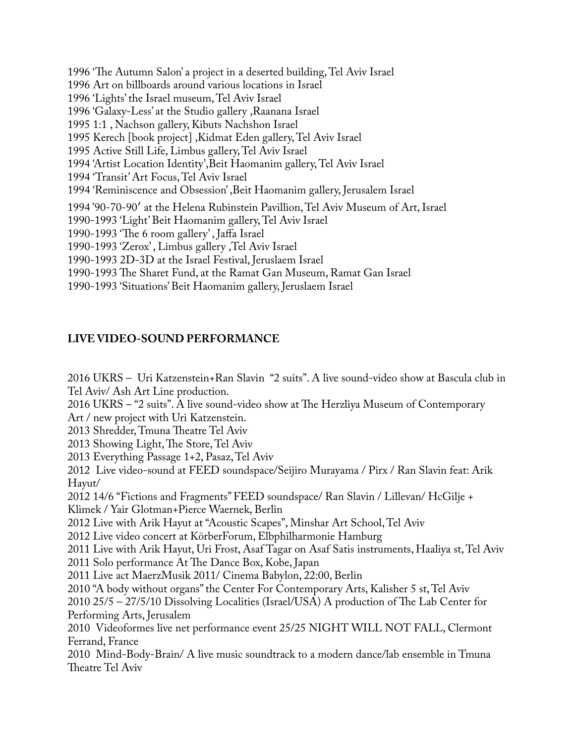1996 'The Autumn Salon' a project in a deserted building, Tel Aviv Israel 1996 Art on billboards around various locations in Israel 1996 'Lights' the Israel museum, Tel Aviv Israel 1996 'Galaxy-Less' at the Studio gallery ,Raanana Israel 1995 1:1 , Nachson gallery, Kibuts Nachshon Israel 1995 Kerech [book project] ,Kidmat Eden gallery, Tel Aviv Israel 1995 Active Still Life, Limbus gallery, Tel Aviv Israel 1994 'Artist Location Identity',Beit Haomanim gallery, Tel Aviv Israel 1994 'Transit' Art Focus, Tel Aviv Israel 1994 'Reminiscence and Obsession' ,Beit Haomanim gallery, Jerusalem Israel 1994 '90-70-90′ at the Helena Rubinstein Pavillion, Tel Aviv Museum of Art, Israel 1990-1993 'Light' Beit Haomanim gallery, Tel Aviv Israel 1990-1993 'The 6 room gallery', Jaffa Israel 1990-1993 'Zerox' , Limbus gallery ,Tel Aviv Israel 1990-1993 2D-3D at the Israel Festival, Jeruslaem Israel 1990-1993 The Sharet Fund, at the Ramat Gan Museum, Ramat Gan Israel 1990-1993 'Situations' Beit Haomanim gallery, Jeruslaem Israel

# **LIVE VIDEO-SOUND PERFORMANCE**

2016 UKRS – Uri Katzenstein+Ran Slavin "2 suits". A live sound-video show at Bascula club in Tel Aviv/ Ash Art Line production. 2016 UKRS – "2 suits". A live sound-video show at The Herzliya Museum of Contemporary Art / new project with Uri Katzenstein. 2013 Shredder, Tmuna Theatre Tel Aviv 2013 Showing Light, The Store, Tel Aviv 2013 Everything Passage 1+2, Pasaz, Tel Aviv 2012 Live video-sound at FEED soundspace/Seijiro Murayama / Pirx / Ran Slavin feat: Arik Hayut/ 2012 14/6 "Fictions and Fragments" FEED soundspace/ Ran Slavin / Lillevan/ HcGilje + Klimek / Yair Glotman+Pierce Waernek, Berlin 2012 Live with Arik Hayut at "Acoustic Scapes", Minshar Art School, Tel Aviv 2012 Live video concert at KörberForum, Elbphilharmonie Hamburg 2011 Live with Arik Hayut, Uri Frost, Asaf Tagar on Asaf Satis instruments, Haaliya st, Tel Aviv 2011 Solo performance At The Dance Box, Kobe, Japan 2011 Live act MaerzMusik 2011/ Cinema Babylon, 22:00, Berlin

2010 "A body without organs" the Center For Contemporary Arts, Kalisher 5 st, Tel Aviv

 $2010\ 25/5 - 27/5/10$  Dissolving Localities (Israel/USA) A production of The Lab Center for Performing Arts, Jerusalem

2010 Videoformes live net performance event 25/25 NIGHT WILL NOT FALL, Clermont Ferrand, France

2010 Mind-Body-Brain/ A live music soundtrack to a modern dance/lab ensemble in Tmuna Theatre Tel Aviv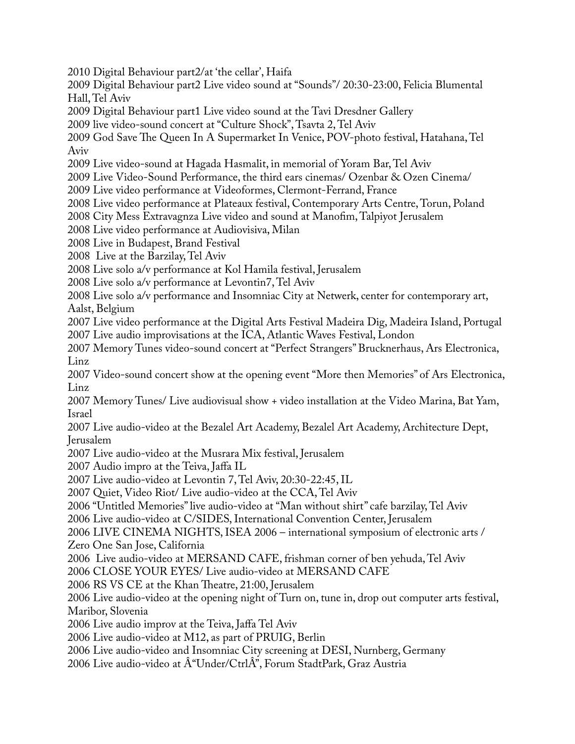2010 Digital Behaviour part2/at 'the cellar', Haifa

2009 Digital Behaviour part2 Live video sound at "Sounds"/ 20:30-23:00, Felicia Blumental Hall, Tel Aviv

2009 Digital Behaviour part1 Live video sound at the Tavi Dresdner Gallery

2009 live video-sound concert at "Culture Shock", Tsavta 2, Tel Aviv

2009 God Save The Queen In A Supermarket In Venice, POV-photo festival, Hatahana, Tel Aviv

2009 Live video-sound at Hagada Hasmalit, in memorial of Yoram Bar, Tel Aviv

2009 Live Video-Sound Performance, the third ears cinemas/ Ozenbar & Ozen Cinema/

2009 Live video performance at Videoformes, Clermont-Ferrand, France

2008 Live video performance at Plateaux festival, Contemporary Arts Centre, Torun, Poland

2008 City Mess Extravagnza Live video and sound at Manofm, Talpiyot Jerusalem

2008 Live video performance at Audiovisiva, Milan

2008 Live in Budapest, Brand Festival

2008 Live at the Barzilay, Tel Aviv

2008 Live solo a/v performance at Kol Hamila festival, Jerusalem

2008 Live solo a/v performance at Levontin7, Tel Aviv

2008 Live solo a/v performance and Insomniac City at Netwerk, center for contemporary art, Aalst, Belgium

2007 Live video performance at the Digital Arts Festival Madeira Dig, Madeira Island, Portugal 2007 Live audio improvisations at the ICA, Atlantic Waves Festival, London

2007 Memory Tunes video-sound concert at "Perfect Strangers" Brucknerhaus, Ars Electronica, Linz

2007 Video-sound concert show at the opening event "More then Memories" of Ars Electronica, Linz

2007 Memory Tunes/ Live audiovisual show + video installation at the Video Marina, Bat Yam, Israel

2007 Live audio-video at the Bezalel Art Academy, Bezalel Art Academy, Architecture Dept, Jerusalem

2007 Live audio-video at the Musrara Mix festival, Jerusalem

2007 Audio impro at the Teiva, Jaffa IL

2007 Live audio-video at Levontin 7, Tel Aviv, 20:30-22:45, IL

2007 Quiet, Video Riot/ Live audio-video at the CCA, Tel Aviv

2006 "Untitled Memories" live audio-video at "Man without shirt" cafe barzilay, Tel Aviv

2006 Live audio-video at C/SIDES, International Convention Center, Jerusalem

2006 LIVE CINEMA NIGHTS, ISEA 2006 – international symposium of electronic arts / Zero One San Jose, California

2006 Live audio-video at MERSAND CAFE, frishman corner of ben yehuda, Tel Aviv

2006 CLOSE YOUR EYES/ Live audio-video at MERSAND CAFE

2006 RS VS CE at the Khan Theatre, 21:00, Jerusalem

2006 Live audio-video at the opening night of Turn on, tune in, drop out computer arts festival, Maribor, Slovenia

2006 Live audio improv at the Teiva, Jaffa Tel Aviv

2006 Live audio-video at M12, as part of PRUIG, Berlin

2006 Live audio-video and Insomniac City screening at DESI, Nurnberg, Germany

2006 Live audio-video at  $\hat{A}$ "Under/Ctrl $\hat{A}$ ", Forum StadtPark, Graz Austria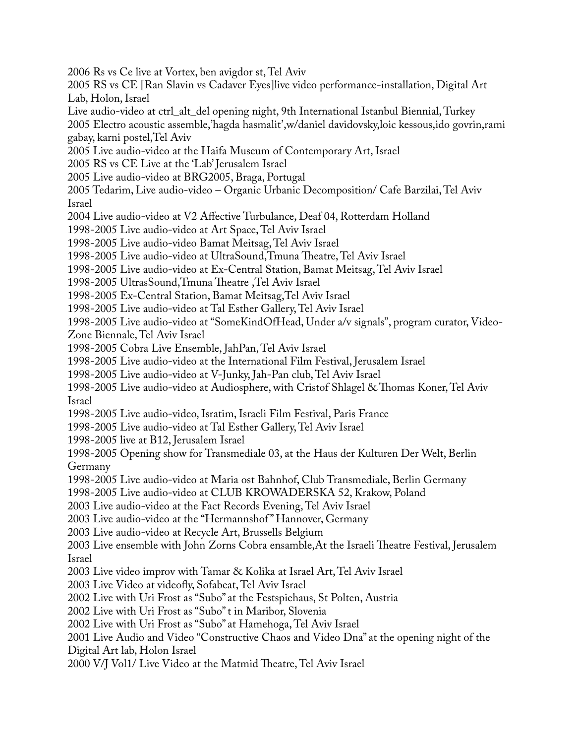2006 Rs vs Ce live at Vortex, ben avigdor st, Tel Aviv

2005 RS vs CE [Ran Slavin vs Cadaver Eyes]live video performance-installation, Digital Art Lab, Holon, Israel

Live audio-video at ctrl\_alt\_del opening night, 9th International Istanbul Biennial, Turkey 2005 Electro acoustic assemble,'hagda hasmalit',w/daniel davidovsky,loic kessous,ido govrin,rami gabay, karni postel,Tel Aviv

2005 Live audio-video at the Haifa Museum of Contemporary Art, Israel

2005 RS vs CE Live at the 'Lab' Jerusalem Israel

2005 Live audio-video at BRG2005, Braga, Portugal

2005 Tedarim, Live audio-video – Organic Urbanic Decomposition/ Cafe Barzilai, Tel Aviv Israel

2004 Live audio-video at V2 Affective Turbulance, Deaf 04, Rotterdam Holland

1998-2005 Live audio-video at Art Space, Tel Aviv Israel

1998-2005 Live audio-video Bamat Meitsag, Tel Aviv Israel

1998-2005 Live audio-video at UltraSound, Tmuna Theatre, Tel Aviv Israel

1998-2005 Live audio-video at Ex-Central Station, Bamat Meitsag, Tel Aviv Israel

1998-2005 UltrasSound, Tmuna Theatre, Tel Aviv Israel

1998-2005 Ex-Central Station, Bamat Meitsag,Tel Aviv Israel

1998-2005 Live audio-video at Tal Esther Gallery, Tel Aviv Israel

1998-2005 Live audio-video at "SomeKindOfHead, Under a/v signals", program curator, Video-

Zone Biennale, Tel Aviv Israel

1998-2005 Cobra Live Ensemble, JahPan, Tel Aviv Israel

1998-2005 Live audio-video at the International Film Festival, Jerusalem Israel

1998-2005 Live audio-video at V-Junky, Jah-Pan club, Tel Aviv Israel

1998-2005 Live audio-video at Audiosphere, with Cristof Shlagel & Thomas Koner, Tel Aviv Israel

1998-2005 Live audio-video, Isratim, Israeli Film Festival, Paris France

1998-2005 Live audio-video at Tal Esther Gallery, Tel Aviv Israel

1998-2005 live at B12, Jerusalem Israel

1998-2005 Opening show for Transmediale 03, at the Haus der Kulturen Der Welt, Berlin Germany

1998-2005 Live audio-video at Maria ost Bahnhof, Club Transmediale, Berlin Germany

1998-2005 Live audio-video at CLUB KROWADERSKA 52, Krakow, Poland

2003 Live audio-video at the Fact Records Evening, Tel Aviv Israel

2003 Live audio-video at the "Hermannshof " Hannover, Germany

2003 Live audio-video at Recycle Art, Brussells Belgium

2003 Live ensemble with John Zorns Cobra ensamble, At the Israeli Theatre Festival, Jerusalem Israel

2003 Live video improv with Tamar & Kolika at Israel Art, Tel Aviv Israel

2003 Live Video at videofy, Sofabeat, Tel Aviv Israel

2002 Live with Uri Frost as "Subo" at the Festspiehaus, St Polten, Austria

2002 Live with Uri Frost as "Subo" t in Maribor, Slovenia

2002 Live with Uri Frost as "Subo" at Hamehoga, Tel Aviv Israel

2001 Live Audio and Video "Constructive Chaos and Video Dna" at the opening night of the Digital Art lab, Holon Israel

2000 V/J Vol1/ Live Video at the Matmid Theatre, Tel Aviv Israel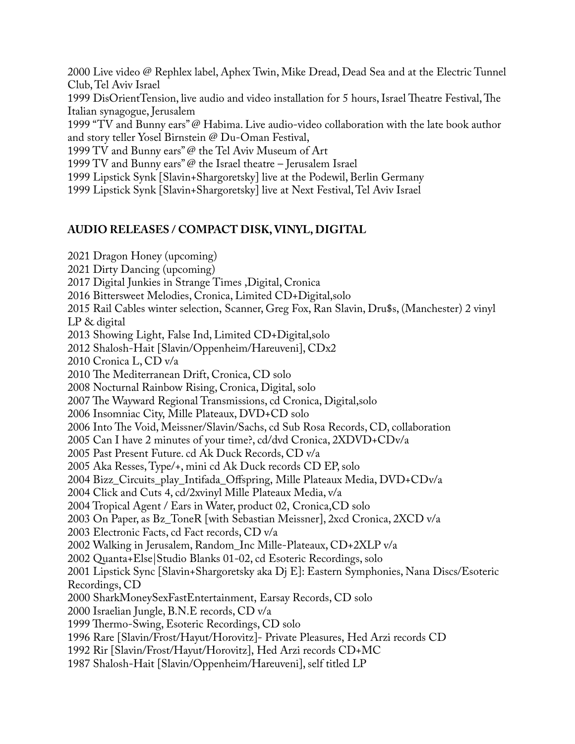2000 Live video @ Rephlex label, Aphex Twin, Mike Dread, Dead Sea and at the Electric Tunnel Club, Tel Aviv Israel

1999 DisOrientTension, live audio and video installation for 5 hours, Israel Theatre Festival, The Italian synagogue, Jerusalem

1999 "TV and Bunny ears" @ Habima. Live audio-video collaboration with the late book author and story teller Yosel Birnstein @ Du-Oman Festival,

1999 TV and Bunny ears" @ the Tel Aviv Museum of Art

1999 TV and Bunny ears" @ the Israel theatre – Jerusalem Israel

1999 Lipstick Synk [Slavin+Shargoretsky] live at the Podewil, Berlin Germany

1999 Lipstick Synk [Slavin+Shargoretsky] live at Next Festival, Tel Aviv Israel

## **AUDIO RELEASES / COMPACT DISK, VINYL, DIGITAL**

2021 Dragon Honey (upcoming) 2021 Dirty Dancing (upcoming) 2017 Digital Junkies in Strange Times ,Digital, Cronica 2016 Bittersweet Melodies, Cronica, Limited CD+Digital,solo 2015 Rail Cables winter selection, Scanner, Greg Fox, Ran Slavin, Dru\$s, (Manchester) 2 vinyl LP & digital 2013 Showing Light, False Ind, Limited CD+Digital,solo 2012 Shalosh-Hait [Slavin/Oppenheim/Hareuveni], CDx2 2010 Cronica L, CD v/a 2010 The Mediterranean Drift, Cronica, CD solo 2008 Nocturnal Rainbow Rising, Cronica, Digital, solo 2007 The Wayward Regional Transmissions, cd Cronica, Digital, solo 2006 Insomniac City, Mille Plateaux, DVD+CD solo 2006 Into The Void, Meissner/Slavin/Sachs, cd Sub Rosa Records, CD, collaboration 2005 Can I have 2 minutes of your time?, cd/dvd Cronica, 2XDVD+CDv/a 2005 Past Present Future. cd Ak Duck Records, CD v/a 2005 Aka Resses, Type/+, mini cd Ak Duck records CD EP, solo 2004 Bizz\_Circuits\_play\_Intifada\_Offspring, Mille Plateaux Media, DVD+CDv/a 2004 Click and Cuts 4, cd/2xvinyl Mille Plateaux Media, v/a 2004 Tropical Agent / Ears in Water, product 02, Cronica,CD solo 2003 On Paper, as Bz\_ToneR [with Sebastian Meissner], 2xcd Cronica, 2XCD v/a 2003 Electronic Facts, cd Fact records, CD v/a 2002 Walking in Jerusalem, Random\_Inc Mille-Plateaux, CD+2XLP v/a 2002 Quanta+Else|Studio Blanks 01-02, cd Esoteric Recordings, solo 2001 Lipstick Sync [Slavin+Shargoretsky aka Dj E]: Eastern Symphonies, Nana Discs/Esoteric Recordings, CD 2000 SharkMoneySexFastEntertainment, Earsay Records, CD solo 2000 Israelian Jungle, B.N.E records, CD v/a 1999 Thermo-Swing, Esoteric Recordings, CD solo 1996 Rare [Slavin/Frost/Hayut/Horovitz]- Private Pleasures, Hed Arzi records CD 1992 Rir [Slavin/Frost/Hayut/Horovitz], Hed Arzi records CD+MC 1987 Shalosh-Hait [Slavin/Oppenheim/Hareuveni], self titled LP